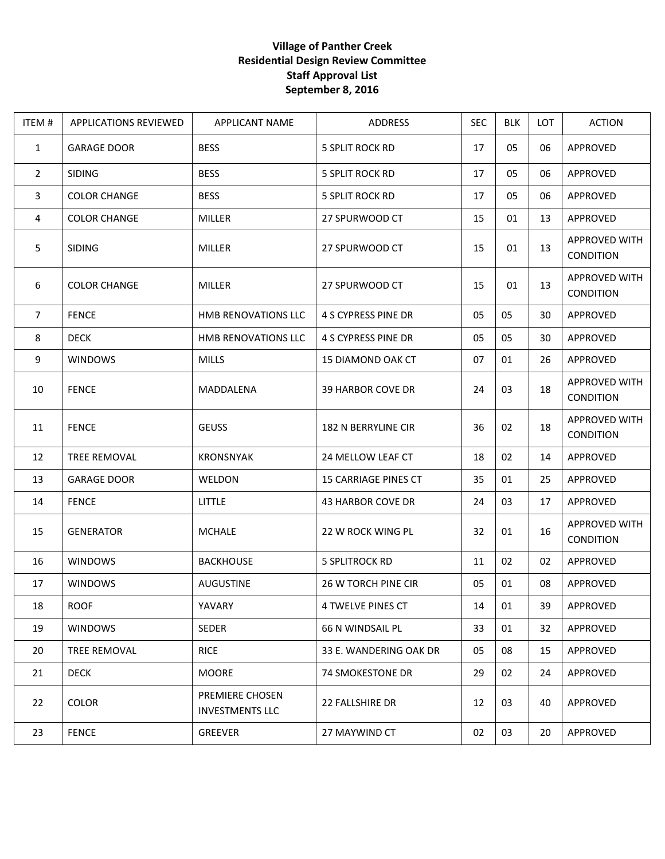## **Village of Panther Creek Residential Design Review Committee Staff Approval List September 8, 2016**

| ITEM#          | <b>APPLICATIONS REVIEWED</b> | <b>APPLICANT NAME</b>                     | <b>ADDRESS</b>              | <b>SEC</b> | <b>BLK</b> | <b>LOT</b> | <b>ACTION</b>                     |
|----------------|------------------------------|-------------------------------------------|-----------------------------|------------|------------|------------|-----------------------------------|
| $\mathbf{1}$   | <b>GARAGE DOOR</b>           | <b>BESS</b>                               | 5 SPLIT ROCK RD             | 17         | 05         | 06         | APPROVED                          |
| $\overline{2}$ | <b>SIDING</b>                | <b>BESS</b>                               | <b>5 SPLIT ROCK RD</b>      | 17         | 05         | 06         | APPROVED                          |
| $\mathbf{3}$   | <b>COLOR CHANGE</b>          | <b>BESS</b>                               | <b>5 SPLIT ROCK RD</b>      | 17         | 05         | 06         | APPROVED                          |
| 4              | <b>COLOR CHANGE</b>          | <b>MILLER</b>                             | 27 SPURWOOD CT              | 15         | 01         | 13         | APPROVED                          |
| 5              | <b>SIDING</b>                | <b>MILLER</b>                             | 27 SPURWOOD CT              | 15         | 01         | 13         | APPROVED WITH<br>CONDITION        |
| 6              | <b>COLOR CHANGE</b>          | MILLER                                    | 27 SPURWOOD CT              | 15         | 01         | 13         | APPROVED WITH<br>CONDITION        |
| $\overline{7}$ | <b>FENCE</b>                 | HMB RENOVATIONS LLC                       | 4 S CYPRESS PINE DR         | 05         | 05         | 30         | APPROVED                          |
| 8              | <b>DECK</b>                  | HMB RENOVATIONS LLC                       | 4 S CYPRESS PINE DR         | 05         | 05         | 30         | APPROVED                          |
| 9              | <b>WINDOWS</b>               | <b>MILLS</b>                              | <b>15 DIAMOND OAK CT</b>    | 07         | 01         | 26         | APPROVED                          |
| 10             | <b>FENCE</b>                 | MADDALENA                                 | 39 HARBOR COVE DR           | 24         | 03         | 18         | APPROVED WITH<br>CONDITION        |
| 11             | <b>FENCE</b>                 | <b>GEUSS</b>                              | 182 N BERRYLINE CIR         | 36         | 02         | 18         | APPROVED WITH<br>CONDITION        |
| 12             | TREE REMOVAL                 | KRONSNYAK                                 | 24 MELLOW LEAF CT           | 18         | 02         | 14         | APPROVED                          |
| 13             | <b>GARAGE DOOR</b>           | WELDON                                    | <b>15 CARRIAGE PINES CT</b> | 35         | 01         | 25         | APPROVED                          |
| 14             | <b>FENCE</b>                 | <b>LITTLE</b>                             | 43 HARBOR COVE DR           | 24         | 03         | 17         | APPROVED                          |
| 15             | <b>GENERATOR</b>             | <b>MCHALE</b>                             | 22 W ROCK WING PL           | 32         | 01         | 16         | <b>APPROVED WITH</b><br>CONDITION |
| 16             | <b>WINDOWS</b>               | <b>BACKHOUSE</b>                          | <b>5 SPLITROCK RD</b>       | 11         | 02         | 02         | APPROVED                          |
| 17             | <b>WINDOWS</b>               | <b>AUGUSTINE</b>                          | 26 W TORCH PINE CIR         | 05         | 01         | 08         | APPROVED                          |
| 18             | <b>ROOF</b>                  | YAVARY                                    | 4 TWELVE PINES CT           | 14         | 01         | 39         | APPROVED                          |
| 19             | <b>WINDOWS</b>               | <b>SEDER</b>                              | 66 N WINDSAIL PL            | 33         | 01         | 32         | APPROVED                          |
| 20             | <b>TREE REMOVAL</b>          | <b>RICE</b>                               | 33 E. WANDERING OAK DR      | 05         | 08         | 15         | APPROVED                          |
| 21             | <b>DECK</b>                  | <b>MOORE</b>                              | 74 SMOKESTONE DR            | 29         | 02         | 24         | APPROVED                          |
| 22             | COLOR                        | PREMIERE CHOSEN<br><b>INVESTMENTS LLC</b> | 22 FALLSHIRE DR             | 12         | 03         | 40         | APPROVED                          |
| 23             | <b>FENCE</b>                 | GREEVER                                   | 27 MAYWIND CT               | 02         | 03         | 20         | APPROVED                          |